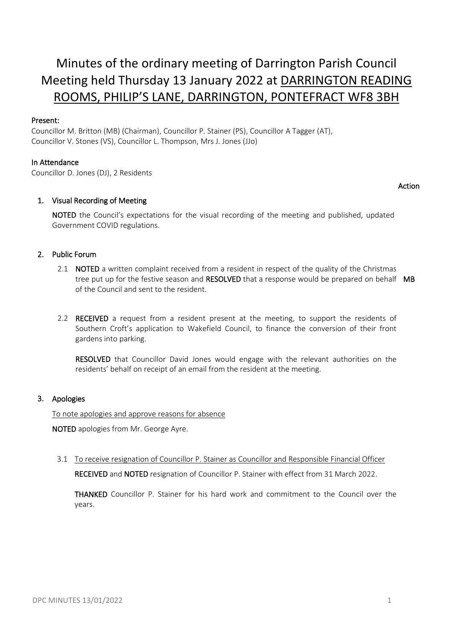# Minutes of the ordinary meeting of Darrington Parish Council Meeting held Thursday 13 January 2022 at DARRINGTON READING ROOMS, PHILIP'S LANE, DARRINGTON, PONTEFRACT WF8 3BH

# Present:

Councillor M. Britton (MB) (Chairman), Councillor P. Stainer (PS), Councillor A Tagger (AT), Councillor V. Stones (VS), Councillor L. Thompson, Mrs J. Jones (JJo)

## In Attendance

Councillor D. Jones (DJ), 2 Residents

## Action

# 1. Visual Recording of Meeting

NOTED the Council's expectations for the visual recording of the meeting and published, updated Government COVID regulations.

# 2. Public Forum

- 2.1 **NOTED** a written complaint received from a resident in respect of the quality of the Christmas tree put up for the festive season and RESOLVED that a response would be prepared on behalf MB of the Council and sent to the resident.
- 2.2 RECEIVED a request from a resident present at the meeting, to support the residents of Southern Croft's application to Wakefield Council, to finance the conversion of their front gardens into parking.

RESOLVED that Councillor David Jones would engage with the relevant authorities on the residents' behalf on receipt of an email from the resident at the meeting.

## 3. Apologies

To note apologies and approve reasons for absence

NOTED apologies from Mr. George Ayre.

3.1 To receive resignation of Councillor P. Stainer as Councillor and Responsible Financial Officer RECEIVED and NOTED resignation of Councillor P. Stainer with effect from 31 March 2022.

THANKED Councillor P. Stainer for his hard work and commitment to the Council over the years.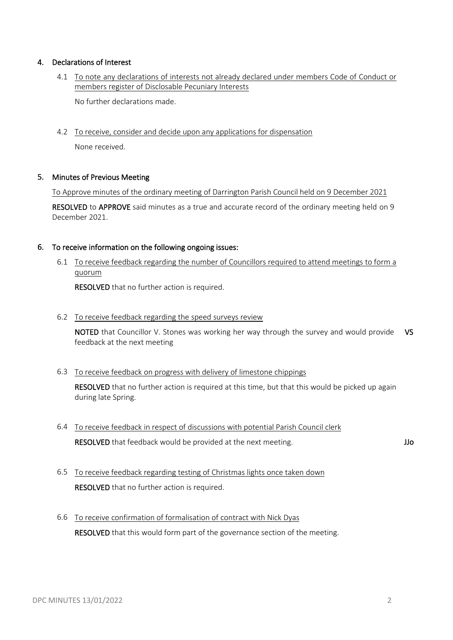## 4. Declarations of Interest

4.1 To note any declarations of interests not already declared under members Code of Conduct or members register of Disclosable Pecuniary Interests

No further declarations made.

4.2 To receive, consider and decide upon any applications for dispensation

None received.

## 5. Minutes of Previous Meeting

To Approve minutes of the ordinary meeting of Darrington Parish Council held on 9 December 2021

RESOLVED to APPROVE said minutes as a true and accurate record of the ordinary meeting held on 9 December 2021.

## 6. To receive information on the following ongoing issues:

6.1 To receive feedback regarding the number of Councillors required to attend meetings to form a quorum

RESOLVED that no further action is required.

6.2 To receive feedback regarding the speed surveys review

NOTED that Councillor V. Stones was working her way through the survey and would provide VS feedback at the next meeting

6.3 To receive feedback on progress with delivery of limestone chippings

RESOLVED that no further action is required at this time, but that this would be picked up again during late Spring.

- 6.4 To receive feedback in respect of discussions with potential Parish Council clerk RESOLVED that feedback would be provided at the next meeting. The mass of the state of the state of the state of the state of the state of the state of the state of the state of the state of the state of the state of the s
- 6.5 To receive feedback regarding testing of Christmas lights once taken down RESOLVED that no further action is required.
- 6.6 To receive confirmation of formalisation of contract with Nick Dyas RESOLVED that this would form part of the governance section of the meeting.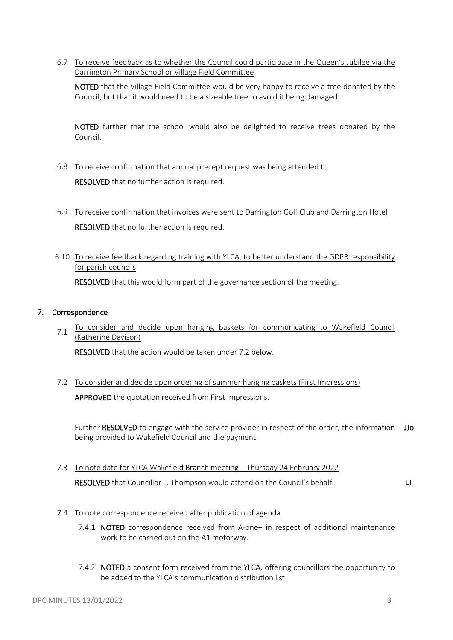6.7 To receive feedback as to whether the Council could participate in the Queen's Jubilee via the Darrington Primary School or Village Field Committee

NOTED that the Village Field Committee would be very happy to receive a tree donated by the Council, but that it would need to be a sizeable tree to avoid it being damaged.

NOTED further that the school would also be delighted to receive trees donated by the Council.

- 6.8 To receive confirmation that annual precept request was being attended to RESOLVED that no further action is required.
- 6.9 To receive confirmation that invoices were sent to Darrington Golf Club and Darrington Hotel RESOLVED that no further action is required.
- 6.10 To receive feedback regarding training with YLCA, to better understand the GDPR responsibility for parish councils

RESOLVED that this would form part of the governance section of the meeting.

# 7. Correspondence

7.1 To consider and decide upon hanging baskets for communicating to Wakefield Council (Katherine Davison)

RESOLVED that the action would be taken under 7.2 below.

7.2 To consider and decide upon ordering of summer hanging baskets (First Impressions) APPROVED the quotation received from First Impressions.

Further RESOLVED to engage with the service provider in respect of the order, the information JJo being provided to Wakefield Council and the payment.

7.3 To note date for YLCA Wakefield Branch meeting – Thursday 24 February 2022

RESOLVED that Councillor L. Thompson would attend on the Council's behalf. LT

- 7.4 To note correspondence received after publication of agenda
	- 7.4.1 NOTED correspondence received from A-one+ in respect of additional maintenance work to be carried out on the A1 motorway.
	- 7.4.2 NOTED a consent form received from the YLCA, offering councillors the opportunity to be added to the YLCA's communication distribution list.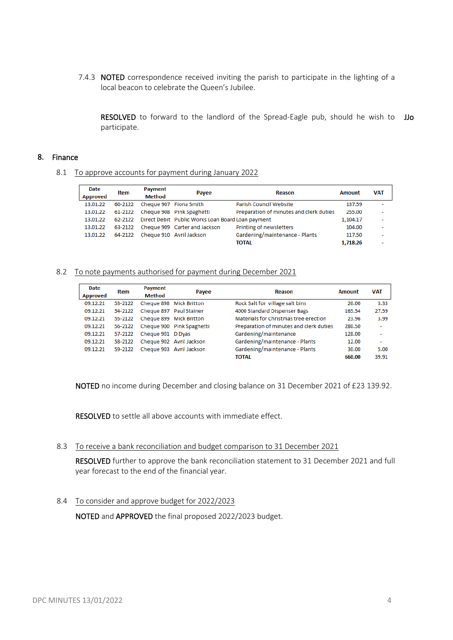7.4.3 NOTED correspondence received inviting the parish to participate in the lighting of a local beacon to celebrate the Queen's Jubilee.

RESOLVED to forward to the landlord of the Spread-Eagle pub, should he wish to JJo participate.

## 8. Finance

8.1 To approve accounts for payment during January 2022

| Date<br><b>Approved</b> | <b>Item</b> | Payment<br>Method      | Payee                                                     | Reason                                  | Amount   | <b>VAT</b> |
|-------------------------|-------------|------------------------|-----------------------------------------------------------|-----------------------------------------|----------|------------|
| 13.01.22                | 60-2122     | Cheque 907 Fiona Smith |                                                           | Parish Council Website                  | 137.59   |            |
| 13.01.22                |             |                        | 61-2122 Cheque 908 Pink Spaghetti                         | Preparation of minutes and clerk duties | 255.00   | ٠          |
| 13.01.22                |             |                        | 62-2122 Direct Debit Public Works Loan Board Loan payment |                                         | 1,104.17 |            |
| 13.01.22                | 63-2122     |                        | Cheque 909 Carter and Jackson                             | Printing of newsletters                 | 104.00   | ٠          |
| 13.01.22                |             |                        | 64-2122 Cheque 910 Avril Jackson                          | Gardening/maintenance - Plants          | 117.50   |            |
|                         |             |                        |                                                           | TOTAL                                   | 1.718.26 |            |

#### 8.2 To note payments authorised for payment during December 2021

| Date<br><b>Approved</b> | Item    | Payment<br><b>Method</b> | Payee                     | Reason                                  | <b>Amount</b> | <b>VAT</b>               |
|-------------------------|---------|--------------------------|---------------------------|-----------------------------------------|---------------|--------------------------|
| 09.12.21                | 53-2122 |                          | Cheque 898 Mick Britton   | Rock Salt for village salt bins         | 20.00         | 3.33                     |
| 09.12.21                | 54-2122 |                          | Cheque 897 Paul Stainer   | 4000 Standard Dispenser Bags            | 165.54        | 27.59                    |
| 09.12.21                | 55-2122 |                          | Cheque 899 Mick Britton   | Materials for Christmas tree erection   | 23.96         | 3.99                     |
| 09.12.21                | 56-2122 |                          | Cheque 900 Pink Spaghetti | Preparation of minutes and clerk duties | 280.50        | ٠                        |
| 09.12.21                | 57-2122 | Cheque 901 D Dyas        |                           | Gardening/maintenance                   | 128.00        | $\overline{\phantom{0}}$ |
| 09.12.21                | 58-2122 |                          | Cheque 902 Avril Jackson  | Gardening/maintenance - Plants          | 12.00         | ۰                        |
| 09.12.21                | 59-2122 |                          | Cheque 903 Avril Jackson  | Gardening/maintenance - Plants          | 30.00         | 5.00                     |
|                         |         |                          |                           | <b>TOTAL</b>                            | 660.00        | 39.91                    |

NOTED no income during December and closing balance on 31 December 2021 of £23 139.92.

RESOLVED to settle all above accounts with immediate effect.

#### 8.3 To receive a bank reconciliation and budget comparison to 31 December 2021

RESOLVED further to approve the bank reconciliation statement to 31 December 2021 and full year forecast to the end of the financial year.

#### 8.4 To consider and approve budget for 2022/2023

NOTED and APPROVED the final proposed 2022/2023 budget.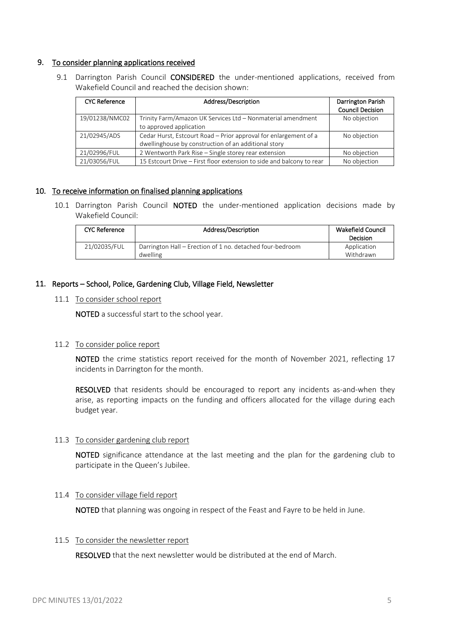## 9. To consider planning applications received

9.1 Darrington Parish Council CONSIDERED the under-mentioned applications, received from Wakefield Council and reached the decision shown:

| <b>CYC Reference</b> | Address/Description                                                                                                      | Darrington Parish<br><b>Council Decision</b> |
|----------------------|--------------------------------------------------------------------------------------------------------------------------|----------------------------------------------|
| 19/01238/NMC02       | Trinity Farm/Amazon UK Services Ltd - Nonmaterial amendment<br>to approved application                                   | No objection                                 |
| 21/02945/ADS         | Cedar Hurst, Estcourt Road - Prior approval for enlargement of a<br>dwellinghouse by construction of an additional story | No objection                                 |
| 21/02996/FUL         | 2 Wentworth Park Rise - Single storey rear extension                                                                     | No objection                                 |
| 21/03056/FUL         | 15 Estcourt Drive – First floor extension to side and balcony to rear                                                    | No objection                                 |

## 10. To receive information on finalised planning applications

10.1 Darrington Parish Council NOTED the under-mentioned application decisions made by Wakefield Council:

| <b>CYC Reference</b> | Address/Description                                                   | <b>Wakefield Council</b><br><b>Decision</b> |
|----------------------|-----------------------------------------------------------------------|---------------------------------------------|
| 21/02035/FUL         | Darrington Hall – Erection of 1 no. detached four-bedroom<br>dwelling | Application<br>Withdrawn                    |

## 11. Reports – School, Police, Gardening Club, Village Field, Newsletter

## 11.1 To consider school report

NOTED a successful start to the school year.

# 11.2 To consider police report

NOTED the crime statistics report received for the month of November 2021, reflecting 17 incidents in Darrington for the month.

RESOLVED that residents should be encouraged to report any incidents as-and-when they arise, as reporting impacts on the funding and officers allocated for the village during each budget year.

## 11.3 To consider gardening club report

NOTED significance attendance at the last meeting and the plan for the gardening club to participate in the Queen's Jubilee.

## 11.4 To consider village field report

NOTED that planning was ongoing in respect of the Feast and Fayre to be held in June.

## 11.5 To consider the newsletter report

RESOLVED that the next newsletter would be distributed at the end of March.